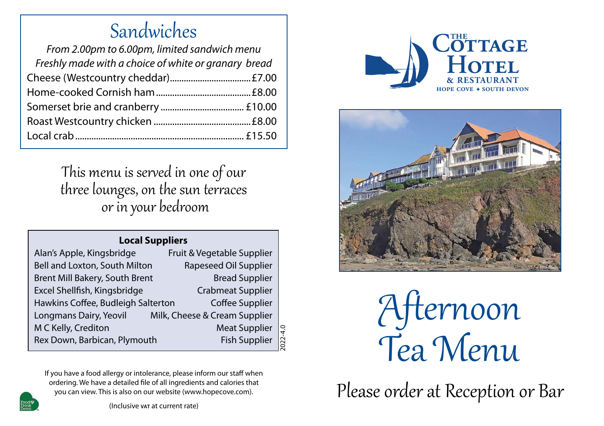### Sandwiches

| From 2.00pm to 6.00pm, limited sandwich menu         |  |
|------------------------------------------------------|--|
| Freshly made with a choice of white or granary bread |  |
|                                                      |  |
|                                                      |  |
|                                                      |  |
|                                                      |  |
|                                                      |  |
|                                                      |  |

This menu is served in one of our three lounges, on the sun terraces or in your bedroom

#### **Local Suppliers**

| Fruit & Vegetable Supplier                           |                             |
|------------------------------------------------------|-----------------------------|
| Rapeseed Oil Supplier                                |                             |
| <b>Bread Supplier</b>                                |                             |
| <b>Crabmeat Supplier</b>                             |                             |
| Coffee Supplier                                      |                             |
| Milk, Cheese & Cream Supplier                        |                             |
| <b>Meat Supplier</b>                                 | $\frac{2022-4.0}{2022-4.0}$ |
| <b>Fish Supplier</b><br>Rex Down, Barbican, Plymouth |                             |
|                                                      |                             |

If you have a food allergy or intolerance, please inform our staff when ordering. We have a detailed file of all ingredients and calories that you can view. This is also on our website (www.hopecove.com).



(Inclusive **vat** at current rate)





�fternoon Tea Menu  $\overline{A}$   $\overline{B}$ **ernoon** 

**C H**  Please order at Reception or Bar